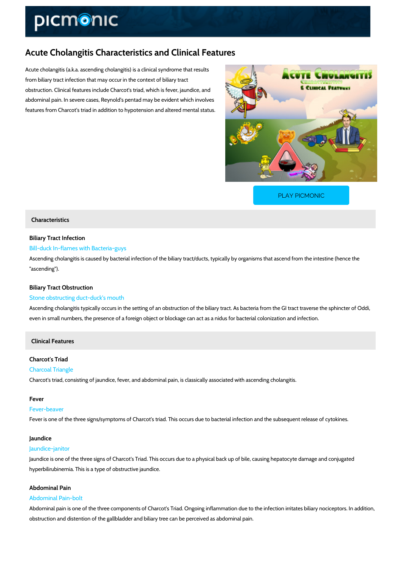# Acute Cholangitis Characteristics and Clinical Features

Acute cholangitis (a.k.a. ascending cholangitis) is a clinical syndrome that results from biliary tract infection that may occur in the context of biliary tract obstruction. Clinical features include Charcot's triad, which is fever, jaundice, and abdominal pain. In severe cases, Reynold's pentad may be evident which involves features from Charcot's triad in addition to hypotension and altered mental status.

[PLAY PICMONIC](https://www.picmonic.com/learn/ascending-cholangitis-characteristics_50052?utm_source=downloadable_content&utm_medium=distributedcontent&utm_campaign=pathways_pdf&utm_content=Acute Cholangitis Characteristics and Clinical Features&utm_ad_group=leads&utm_market=all)

## Characteristics

Biliary Tract Infection Bill-duck In-flames with Bacteria-guys Ascending cholangitis is caused by bacterial infection of the biliary tract/ducts, typically by c "ascending").

## Biliary Tract Obstruction

#### Stone obstructing duct-duck's mouth

Ascending cholangitis typically occurs in the setting of an obstruction of the biliary tract. As even in small numbers, the presence of a foreign object or blockage can act as a nidus for ba

## Clinical Features

## Charcot's Triad

Charcoal Triangle Charcot's triad, consisting of jaundice, fever, and abdominal pain, is classically associated w

#### Fever

#### Fever-beaver

Fever is one of the three signs/symptoms of Charcot's triad. This occurs due to bacterial infe

#### Jaundice

#### Jaundice-janitor

Jaundice is one of the three signs of Charcot's Triad. This occurs due to a physical back up o hyperbilirubinemia. This is a type of obstructive jaundice.

## Abdominal Pain Abdominal Pain-bolt

Abdominal pain is one of the three components of Charcot's Triad. Ongoing inflammation due obstruction and distention of the gallbladder and biliary tree can be perceived as abdominal p